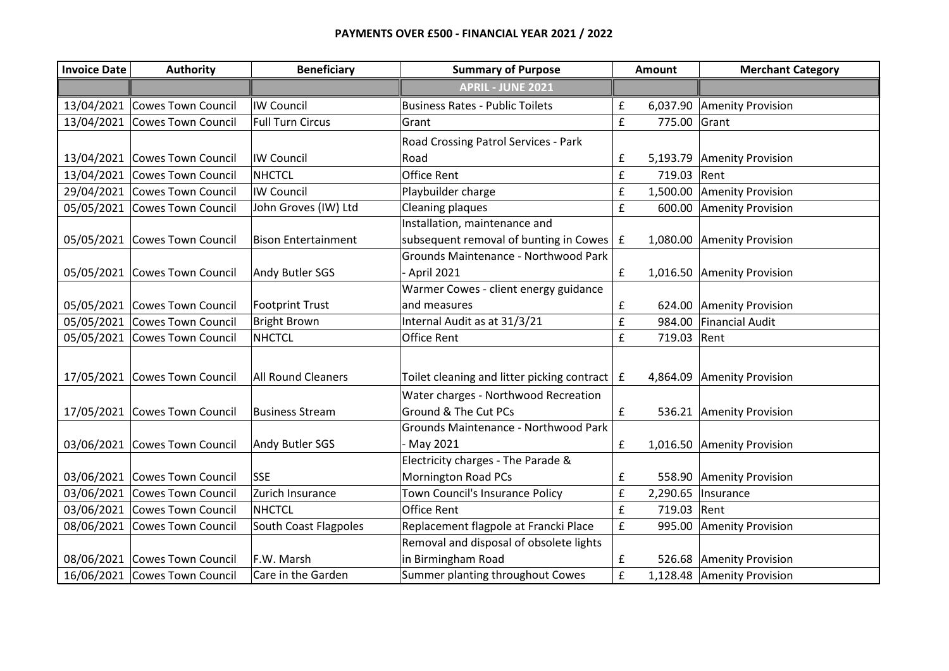| <b>Invoice Date</b> | Authority                     | <b>Beneficiary</b>         | <b>Summary of Purpose</b>                             |                    | <b>Amount</b> | <b>Merchant Category</b>   |
|---------------------|-------------------------------|----------------------------|-------------------------------------------------------|--------------------|---------------|----------------------------|
|                     |                               |                            | <b>APRIL - JUNE 2021</b>                              |                    |               |                            |
| 13/04/2021          | Cowes Town Council            | <b>IW Council</b>          | <b>Business Rates - Public Toilets</b>                | £                  | 6,037.90      | Amenity Provision          |
| 13/04/2021          | Cowes Town Council            | <b>Full Turn Circus</b>    | Grant                                                 | £                  | 775.00        | Grant                      |
|                     |                               |                            | Road Crossing Patrol Services - Park                  |                    |               |                            |
|                     | 13/04/2021 Cowes Town Council | <b>IW Council</b>          | Road                                                  | £                  |               | 5,193.79 Amenity Provision |
| 13/04/2021          | Cowes Town Council            | <b>NHCTCL</b>              | <b>Office Rent</b>                                    | $\pmb{\mathsf{f}}$ | 719.03        | Rent                       |
|                     | 29/04/2021 Cowes Town Council | <b>IW Council</b>          | Playbuilder charge                                    | $\pmb{\mathsf{f}}$ | 1,500.00      | Amenity Provision          |
| 05/05/2021          | Cowes Town Council            | John Groves (IW) Ltd       | <b>Cleaning plaques</b>                               | £                  | 600.00        | Amenity Provision          |
|                     |                               |                            | Installation, maintenance and                         |                    |               |                            |
| 05/05/2021          | Cowes Town Council            | <b>Bison Entertainment</b> | subsequent removal of bunting in Cowes $E$            |                    |               | 1,080.00 Amenity Provision |
|                     |                               |                            | Grounds Maintenance - Northwood Park                  |                    |               |                            |
|                     | 05/05/2021 Cowes Town Council | Andy Butler SGS            | - April 2021                                          | $\pmb{\mathsf{f}}$ |               | 1,016.50 Amenity Provision |
|                     |                               |                            | Warmer Cowes - client energy guidance                 |                    |               |                            |
|                     | 05/05/2021 Cowes Town Council | <b>Footprint Trust</b>     | and measures                                          | £                  |               | 624.00 Amenity Provision   |
| 05/05/2021          | Cowes Town Council            | <b>Bright Brown</b>        | Internal Audit as at 31/3/21                          | £                  | 984.00        | <b>Financial Audit</b>     |
| 05/05/2021          | Cowes Town Council            | <b>NHCTCL</b>              | <b>Office Rent</b>                                    | $\pmb{\mathsf{f}}$ | 719.03        | Rent                       |
|                     |                               |                            |                                                       |                    |               |                            |
|                     | 17/05/2021 Cowes Town Council | <b>All Round Cleaners</b>  | Toilet cleaning and litter picking contract $\vert$ £ |                    |               | 4,864.09 Amenity Provision |
|                     |                               |                            | Water charges - Northwood Recreation                  |                    |               |                            |
| 17/05/2021          | Cowes Town Council            | <b>Business Stream</b>     | Ground & The Cut PCs                                  | £                  |               | 536.21 Amenity Provision   |
|                     |                               |                            | Grounds Maintenance - Northwood Park                  |                    |               |                            |
|                     | 03/06/2021 Cowes Town Council | Andy Butler SGS            | - May 2021                                            | $\pmb{\mathsf{f}}$ |               | 1,016.50 Amenity Provision |
|                     |                               |                            | Electricity charges - The Parade &                    |                    |               |                            |
|                     | 03/06/2021 Cowes Town Council | <b>SSE</b>                 | <b>Mornington Road PCs</b>                            | £                  |               | 558.90 Amenity Provision   |
|                     | 03/06/2021 Cowes Town Council | Zurich Insurance           | Town Council's Insurance Policy                       | £                  | 2,290.65      | Insurance                  |
| 03/06/2021          | Cowes Town Council            | <b>NHCTCL</b>              | <b>Office Rent</b>                                    | $\pmb{\mathsf{f}}$ | 719.03        | Rent                       |
| 08/06/2021          | Cowes Town Council            | South Coast Flagpoles      | Replacement flagpole at Francki Place                 | £                  | 995.00        | Amenity Provision          |
|                     |                               |                            | Removal and disposal of obsolete lights               |                    |               |                            |
|                     | 08/06/2021 Cowes Town Council | F.W. Marsh                 | in Birmingham Road                                    | £                  |               | 526.68 Amenity Provision   |
|                     | 16/06/2021 Cowes Town Council | Care in the Garden         | Summer planting throughout Cowes                      | £                  |               | 1,128.48 Amenity Provision |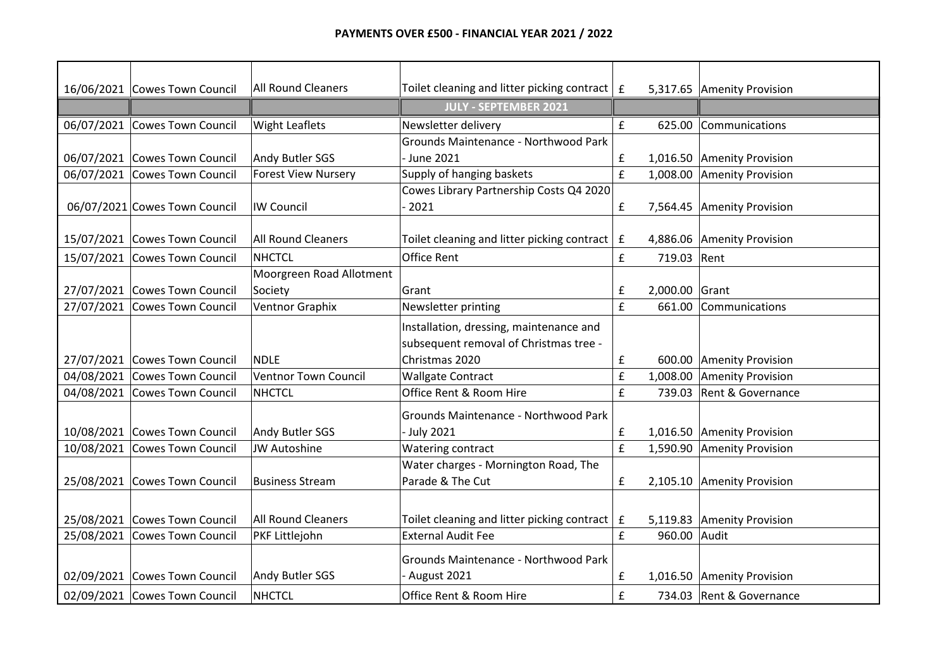|            | 16/06/2021 Cowes Town Council | <b>All Round Cleaners</b>   | Toilet cleaning and litter picking contract | $\mathbf f$ |                | 5,317.65 Amenity Provision |
|------------|-------------------------------|-----------------------------|---------------------------------------------|-------------|----------------|----------------------------|
|            |                               |                             | <b>JULY - SEPTEMBER 2021</b>                |             |                |                            |
| 06/07/2021 | Cowes Town Council            | <b>Wight Leaflets</b>       | Newsletter delivery                         | £           |                | 625.00 Communications      |
|            |                               |                             | Grounds Maintenance - Northwood Park        |             |                |                            |
|            | 06/07/2021 Cowes Town Council | Andy Butler SGS             | - June 2021                                 | £           |                | 1,016.50 Amenity Provision |
| 06/07/2021 | Cowes Town Council            | <b>Forest View Nursery</b>  | Supply of hanging baskets                   | £           |                | 1,008.00 Amenity Provision |
|            |                               |                             | Cowes Library Partnership Costs Q4 2020     |             |                |                            |
|            | 06/07/2021 Cowes Town Council | <b>IW Council</b>           | $-2021$                                     | £           |                | 7,564.45 Amenity Provision |
| 15/07/2021 | Cowes Town Council            | <b>All Round Cleaners</b>   | Toilet cleaning and litter picking contract | $\mathbf f$ |                | 4,886.06 Amenity Provision |
| 15/07/2021 | Cowes Town Council            | <b>NHCTCL</b>               | Office Rent                                 | £           | 719.03         | Rent                       |
|            |                               | Moorgreen Road Allotment    |                                             |             |                |                            |
| 27/07/2021 | Cowes Town Council            | Society                     | Grant                                       | £           | 2,000.00 Grant |                            |
| 27/07/2021 | Cowes Town Council            | Ventnor Graphix             | Newsletter printing                         | £           | 661.00         | Communications             |
|            |                               |                             | Installation, dressing, maintenance and     |             |                |                            |
|            |                               |                             | subsequent removal of Christmas tree -      |             |                |                            |
|            | 27/07/2021 Cowes Town Council | <b>NDLE</b>                 | Christmas 2020                              | £           |                | 600.00 Amenity Provision   |
| 04/08/2021 | Cowes Town Council            | <b>Ventnor Town Council</b> | <b>Wallgate Contract</b>                    | £           | 1,008.00       | Amenity Provision          |
| 04/08/2021 | Cowes Town Council            | <b>NHCTCL</b>               | Office Rent & Room Hire                     | £           | 739.03         | Rent & Governance          |
|            |                               |                             | Grounds Maintenance - Northwood Park        |             |                |                            |
|            | 10/08/2021 Cowes Town Council | Andy Butler SGS             | - July 2021                                 | £           |                | 1,016.50 Amenity Provision |
| 10/08/2021 | Cowes Town Council            | <b>JW Autoshine</b>         | Watering contract                           | £           |                | 1,590.90 Amenity Provision |
|            |                               |                             | Water charges - Mornington Road, The        |             |                |                            |
| 25/08/2021 | Cowes Town Council            | <b>Business Stream</b>      | Parade & The Cut                            | £           |                | 2,105.10 Amenity Provision |
|            |                               |                             |                                             |             |                |                            |
| 25/08/2021 | Cowes Town Council            | <b>All Round Cleaners</b>   | Toilet cleaning and litter picking contract | £           |                | 5,119.83 Amenity Provision |
| 25/08/2021 | Cowes Town Council            | PKF Littlejohn              | <b>External Audit Fee</b>                   | £           | 960.00 Audit   |                            |
|            |                               |                             | Grounds Maintenance - Northwood Park        |             |                |                            |
|            | 02/09/2021 Cowes Town Council | Andy Butler SGS             | August 2021                                 | £           |                | 1,016.50 Amenity Provision |
|            |                               |                             |                                             |             |                |                            |
|            | 02/09/2021 Cowes Town Council | <b>NHCTCL</b>               | Office Rent & Room Hire                     | £           |                | 734.03 Rent & Governance   |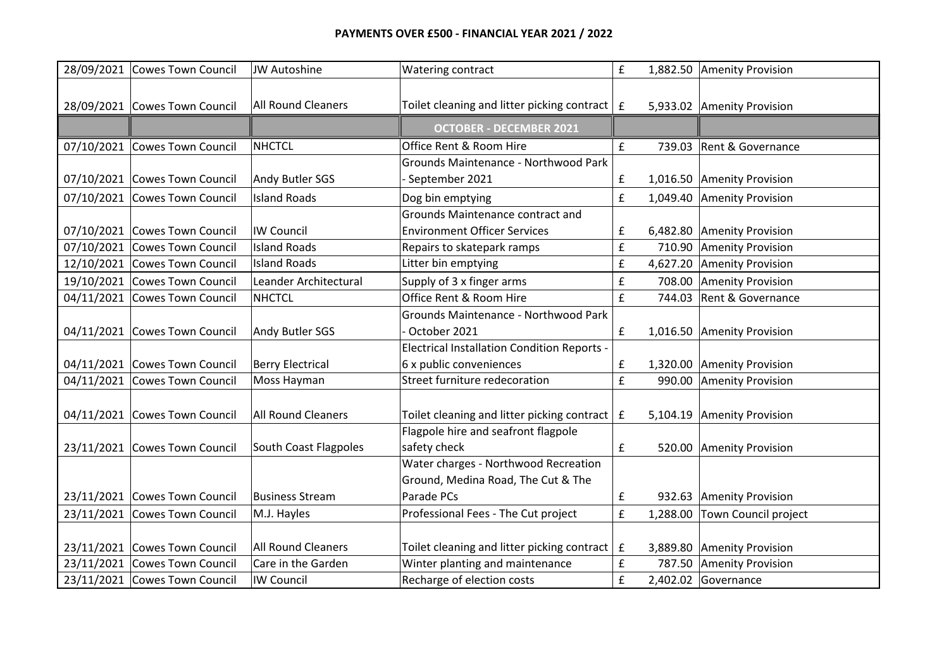## **PAYMENTS OVER £500 - FINANCIAL YEAR 2021 / 2022**

|            | 28/09/2021 Cowes Town Council | <b>JW Autoshine</b>       | Watering contract                                                   | £                  |          | 1,882.50 Amenity Provision   |
|------------|-------------------------------|---------------------------|---------------------------------------------------------------------|--------------------|----------|------------------------------|
|            |                               |                           |                                                                     |                    |          |                              |
|            | 28/09/2021 Cowes Town Council | <b>All Round Cleaners</b> | Toilet cleaning and litter picking contract $\vert$ $\vert$ $\vert$ |                    |          | 5,933.02 Amenity Provision   |
|            |                               |                           | <b>OCTOBER - DECEMBER 2021</b>                                      |                    |          |                              |
| 07/10/2021 | Cowes Town Council            | <b>NHCTCL</b>             | Office Rent & Room Hire                                             | £                  | 739.03   | Rent & Governance            |
|            |                               |                           | Grounds Maintenance - Northwood Park                                |                    |          |                              |
| 07/10/2021 | Cowes Town Council            | Andy Butler SGS           | September 2021                                                      | $\pmb{\mathsf{f}}$ |          | 1,016.50 Amenity Provision   |
|            | 07/10/2021 Cowes Town Council | <b>Island Roads</b>       | Dog bin emptying                                                    | £                  |          | 1,049.40 Amenity Provision   |
|            |                               |                           | Grounds Maintenance contract and                                    |                    |          |                              |
| 07/10/2021 | Cowes Town Council            | <b>IW Council</b>         | <b>Environment Officer Services</b>                                 | £                  |          | 6,482.80 Amenity Provision   |
| 07/10/2021 | Cowes Town Council            | <b>Island Roads</b>       | Repairs to skatepark ramps                                          | £                  |          | 710.90 Amenity Provision     |
| 12/10/2021 | Cowes Town Council            | <b>Island Roads</b>       | Litter bin emptying                                                 | £                  |          | 4,627.20 Amenity Provision   |
| 19/10/2021 | Cowes Town Council            | Leander Architectural     | Supply of 3 x finger arms                                           | $\pmb{\mathsf{f}}$ | 708.00   | Amenity Provision            |
| 04/11/2021 | Cowes Town Council            | <b>NHCTCL</b>             | Office Rent & Room Hire                                             | £                  | 744.03   | <b>Rent &amp; Governance</b> |
|            |                               |                           | Grounds Maintenance - Northwood Park                                |                    |          |                              |
| 04/11/2021 | Cowes Town Council            | Andy Butler SGS           | October 2021                                                        | $\pmb{\mathsf{f}}$ |          | 1,016.50 Amenity Provision   |
|            |                               |                           | <b>Electrical Installation Condition Reports -</b>                  |                    |          |                              |
|            | 04/11/2021 Cowes Town Council | <b>Berry Electrical</b>   | 6 x public conveniences                                             | £                  |          | 1,320.00 Amenity Provision   |
| 04/11/2021 | Cowes Town Council            | Moss Hayman               | Street furniture redecoration                                       | £                  |          | 990.00 Amenity Provision     |
|            |                               |                           |                                                                     |                    |          |                              |
| 04/11/2021 | Cowes Town Council            | <b>All Round Cleaners</b> | Toilet cleaning and litter picking contract                         | $\mathbf f$        |          | 5,104.19 Amenity Provision   |
|            |                               |                           | Flagpole hire and seafront flagpole                                 |                    |          |                              |
| 23/11/2021 | Cowes Town Council            | South Coast Flagpoles     | safety check                                                        | £                  |          | 520.00 Amenity Provision     |
|            |                               |                           | Water charges - Northwood Recreation                                |                    |          |                              |
|            |                               |                           | Ground, Medina Road, The Cut & The                                  |                    |          |                              |
| 23/11/2021 | Cowes Town Council            | <b>Business Stream</b>    | Parade PCs                                                          | £                  |          | 932.63 Amenity Provision     |
| 23/11/2021 | Cowes Town Council            | M.J. Hayles               | Professional Fees - The Cut project                                 | £                  | 1,288.00 | Town Council project         |
|            |                               |                           |                                                                     |                    |          |                              |
| 23/11/2021 | Cowes Town Council            | <b>All Round Cleaners</b> | Toilet cleaning and litter picking contract                         | $\mathbf f$        |          | 3,889.80 Amenity Provision   |
|            | 23/11/2021 Cowes Town Council | Care in the Garden        | Winter planting and maintenance                                     | £                  | 787.50   | <b>Amenity Provision</b>     |
|            | 23/11/2021 Cowes Town Council | <b>IW Council</b>         | Recharge of election costs                                          | £                  |          | $2,402.02$ Governance        |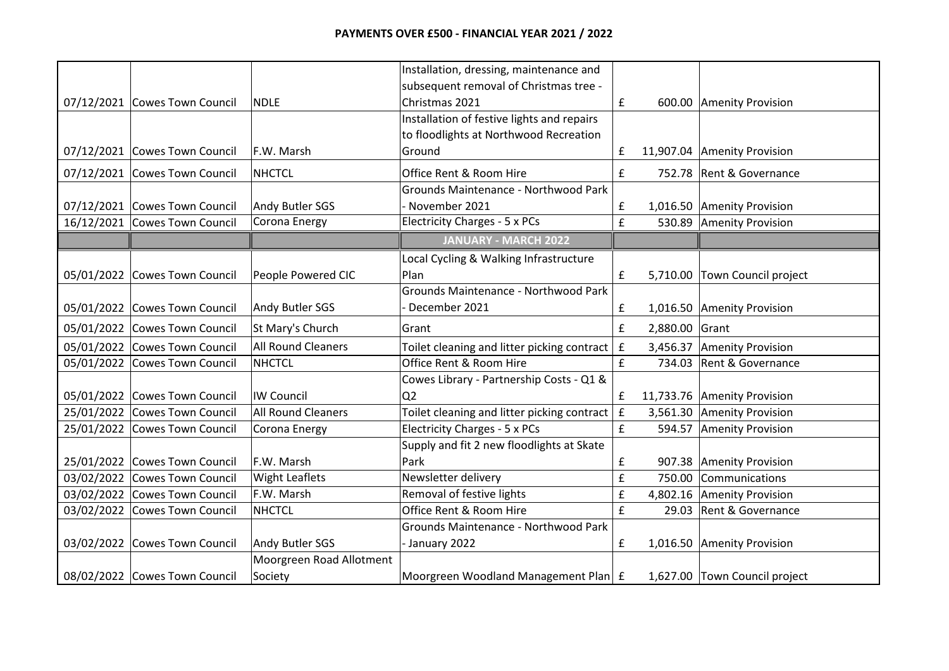|            |                               |                          | Installation, dressing, maintenance and     |                    |                |                               |
|------------|-------------------------------|--------------------------|---------------------------------------------|--------------------|----------------|-------------------------------|
|            |                               |                          | subsequent removal of Christmas tree -      |                    |                |                               |
|            | 07/12/2021 Cowes Town Council | <b>NDLE</b>              | Christmas 2021                              | $\pmb{\mathsf{f}}$ |                | 600.00 Amenity Provision      |
|            |                               |                          | Installation of festive lights and repairs  |                    |                |                               |
|            |                               |                          | to floodlights at Northwood Recreation      |                    |                |                               |
|            | 07/12/2021 Cowes Town Council | F.W. Marsh               | Ground                                      | £                  |                | 11,907.04   Amenity Provision |
|            | 07/12/2021 Cowes Town Council | <b>NHCTCL</b>            | Office Rent & Room Hire                     | £                  |                | 752.78 Rent & Governance      |
|            |                               |                          | Grounds Maintenance - Northwood Park        |                    |                |                               |
|            | 07/12/2021 Cowes Town Council | Andy Butler SGS          | November 2021                               | £                  |                | 1,016.50 Amenity Provision    |
|            | 16/12/2021 Cowes Town Council | Corona Energy            | <b>Electricity Charges - 5 x PCs</b>        | £                  |                | 530.89 Amenity Provision      |
|            |                               |                          | <b>JANUARY - MARCH 2022</b>                 |                    |                |                               |
|            |                               |                          | Local Cycling & Walking Infrastructure      |                    |                |                               |
| 05/01/2022 | Cowes Town Council            | People Powered CIC       | Plan                                        | £                  |                | 5,710.00 Town Council project |
|            |                               |                          | Grounds Maintenance - Northwood Park        |                    |                |                               |
|            | 05/01/2022 Cowes Town Council | Andy Butler SGS          | December 2021                               | £                  |                | 1,016.50 Amenity Provision    |
|            | 05/01/2022 Cowes Town Council | St Mary's Church         | Grant                                       | £                  | 2,880.00 Grant |                               |
| 05/01/2022 | Cowes Town Council            | All Round Cleaners       | Toilet cleaning and litter picking contract | £                  |                | 3,456.37 Amenity Provision    |
| 05/01/2022 | Cowes Town Council            | <b>NHCTCL</b>            | Office Rent & Room Hire                     | £                  |                | 734.03 Rent & Governance      |
|            |                               |                          | Cowes Library - Partnership Costs - Q1 &    |                    |                |                               |
| 05/01/2022 | Cowes Town Council            | <b>IW Council</b>        | Q <sub>2</sub>                              | £                  |                | 11,733.76 Amenity Provision   |
| 25/01/2022 | Cowes Town Council            | All Round Cleaners       | Toilet cleaning and litter picking contract | $\mathbf f$        |                | 3,561.30 Amenity Provision    |
| 25/01/2022 | Cowes Town Council            | Corona Energy            | <b>Electricity Charges - 5 x PCs</b>        | f                  |                | 594.57 Amenity Provision      |
|            |                               |                          | Supply and fit 2 new floodlights at Skate   |                    |                |                               |
|            | 25/01/2022 Cowes Town Council | F.W. Marsh               | Park                                        | £                  |                | 907.38 Amenity Provision      |
| 03/02/2022 | Cowes Town Council            | <b>Wight Leaflets</b>    | Newsletter delivery                         | $\pmb{\mathsf{f}}$ | 750.00         | Communications                |
| 03/02/2022 | Cowes Town Council            | F.W. Marsh               | Removal of festive lights                   | £                  |                | 4,802.16 Amenity Provision    |
| 03/02/2022 | Cowes Town Council            | <b>NHCTCL</b>            | Office Rent & Room Hire                     | $\pmb{\mathsf{f}}$ | 29.03          | <b>Rent &amp; Governance</b>  |
|            |                               |                          | Grounds Maintenance - Northwood Park        |                    |                |                               |
|            | 03/02/2022 Cowes Town Council | Andy Butler SGS          | - January 2022                              | £                  |                | 1,016.50 Amenity Provision    |
|            |                               | Moorgreen Road Allotment |                                             |                    |                |                               |
|            | 08/02/2022 Cowes Town Council | Society                  | Moorgreen Woodland Management Plan E        |                    |                | 1,627.00 Town Council project |